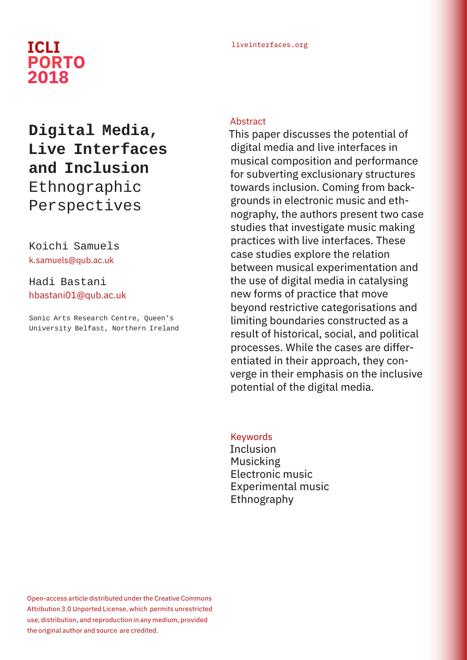# liveinterfaces.org **ICLI PORTO 2018**

# **Digital Media, Live Interfaces and Inclusion**  Ethnographic Perspectives

### Koichi Samuels k.samuels@qub.ac.uk

Hadi Bastani hbastani01@qub.ac.uk

Sonic Arts Research Centre, Queen's University Belfast, Northern Ireland

#### **Abstract**

This paper discusses the potential of digital media and live interfaces in musical composition and performance for subverting exclusionary structures towards inclusion. Coming from backgrounds in electronic music and ethnography, the authors present two case studies that investigate music making practices with live interfaces. These case studies explore the relation between musical experimentation and the use of digital media in catalysing new forms of practice that move beyond restrictive categorisations and limiting boundaries constructed as a result of historical, social, and political processes. While the cases are differentiated in their approach, they converge in their emphasis on the inclusive potential of the digital media.

#### **Keywords**

Inclusion Musicking Electronic music Experimental music Ethnography

Open-access article distributed under the Creative Commons Attribution 3.0 Unported License, which permits unrestricted use, distribution, and reproduction in any medium, provided the original author and source are credited.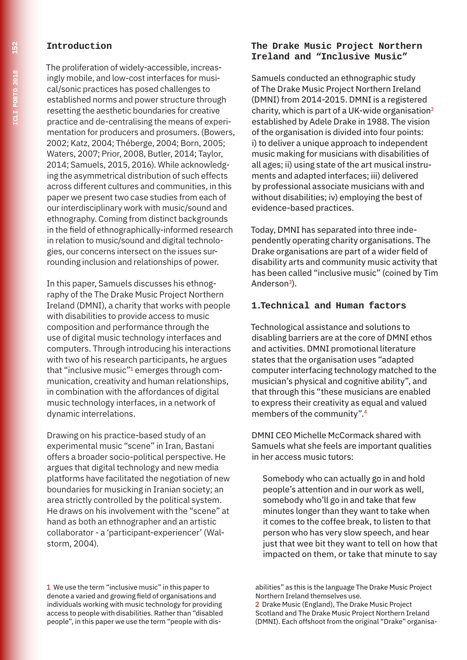#### **Introduction**

The proliferation of widely-accessible, increasingly mobile, and low-cost interfaces for musical/sonic practices has posed challenges to established norms and power structure through resetting the aesthetic boundaries for creative practice and de-centralising the means of experimentation for producers and prosumers. (Bowers, 2002; Katz, 2004; Théberge, 2004; Born, 2005; Waters, 2007; Prior, 2008, Butler, 2014; Taylor, 2014; Samuels, 2015, 2016). While acknowledging the asymmetrical distribution of such effects across different cultures and communities, in this paper we present two case studies from each of our interdisciplinary work with music/sound and ethnography. Coming from distinct backgrounds in the field of ethnographically-informed research in relation to music/sound and digital technologies, our concerns intersect on the issues surrounding inclusion and relationships of power.

In this paper, Samuels discusses his ethnography of the The Drake Music Project Northern Ireland (DMNI), a charity that works with people with disabilities to provide access to music composition and performance through the use of digital music technology interfaces and computers. Through introducing his interactions with two of his research participants, he argues that "inclusive music"1 emerges through communication, creativity and human relationships, in combination with the affordances of digital music technology interfaces, in a network of dynamic interrelations.

Drawing on his practice-based study of an experimental music "scene" in Iran, Bastani offers a broader socio-political perspective. He argues that digital technology and new media platforms have facilitated the negotiation of new boundaries for musicking in Iranian society; an area strictly controlled by the political system. He draws on his involvement with the "scene" at hand as both an ethnographer and an artistic collaborator - a 'participant-experiencer' (Walstorm, 2004).

## **Ireland and "Inclusive Music"** Samuels conducted an ethnographic study

of The Drake Music Project Northern Ireland (DMNI) from 2014-2015. DMNI is a registered charity, which is part of a UK-wide organisation<sup>2</sup> established by Adele Drake in 1988. The vision of the organisation is divided into four points: i) to deliver a unique approach to independent music making for musicians with disabilities of all ages; ii) using state of the art musical instruments and adapted interfaces; iii) delivered by professional associate musicians with and without disabilities; iv) employing the best of evidence-based practices.

**The Drake Music Project Northern** 

Today, DMNI has separated into three independently operating charity organisations. The Drake organisations are part of a wider field of disability arts and community music activity that has been called "inclusive music" (coined by Tim Anderson<sup>3</sup>).

#### **1.Technical and Human factors**

Technological assistance and solutions to disabling barriers are at the core of DMNI ethos and activities. DMNI promotional literature states that the organisation uses "adapted computer interfacing technology matched to the musician's physical and cognitive ability", and that through this "these musicians are enabled to express their creativity as equal and valued members of the community".4

DMNI CEO Michelle McCormack shared with Samuels what she feels are important qualities in her access music tutors:

Somebody who can actually go in and hold people's attention and in our work as well, somebody who'll go in and take that few minutes longer than they want to take when it comes to the coffee break, to listen to that person who has very slow speech, and hear just that wee bit they want to tell on how that impacted on them, or take that minute to say

<sup>1</sup> We use the term "inclusive music" in this paper to denote a varied and growing field of organisations and individuals working with music technology for providing access to people with disabilities. Rather than "disabled people", in this paper we use the term "people with dis-

abilities" as this is the language The Drake Music Project Northern Ireland themselves use.

<sup>2</sup> Drake Music (England), The Drake Music Project Scotland and The Drake Music Project Northern Ireland (DMNI). Each offshoot from the original "Drake" organisa-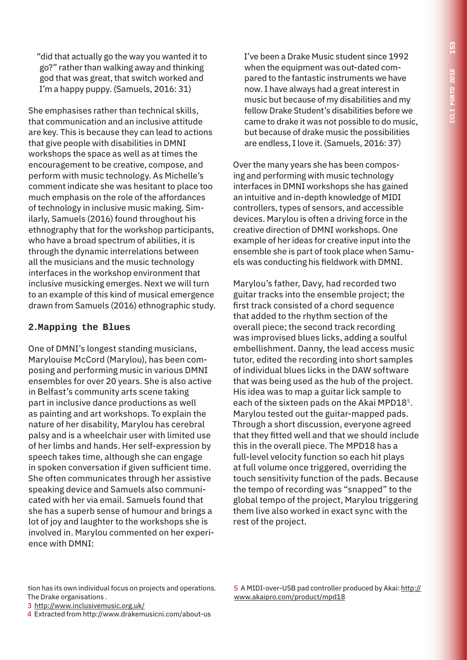"did that actually go the way you wanted it to go?" rather than walking away and thinking god that was great, that switch worked and I'm a happy puppy. (Samuels, 2016: 31)

She emphasises rather than technical skills, that communication and an inclusive attitude are key. This is because they can lead to actions that give people with disabilities in DMNI workshops the space as well as at times the encouragement to be creative, compose, and perform with music technology. As Michelle's comment indicate she was hesitant to place too much emphasis on the role of the affordances of technology in inclusive music making. Similarly, Samuels (2016) found throughout his ethnography that for the workshop participants, who have a broad spectrum of abilities, it is through the dynamic interrelations between all the musicians and the music technology interfaces in the workshop environment that inclusive musicking emerges. Next we will turn to an example of this kind of musical emergence drawn from Samuels (2016) ethnographic study.

#### **2.Mapping the Blues**

One of DMNI's longest standing musicians, Marylouise McCord (Marylou), has been composing and performing music in various DMNI ensembles for over 20 years. She is also active in Belfast's community arts scene taking part in inclusive dance productions as well as painting and art workshops. To explain the nature of her disability, Marylou has cerebral palsy and is a wheelchair user with limited use of her limbs and hands. Her self-expression by speech takes time, although she can engage in spoken conversation if given sufficient time. She often communicates through her assistive speaking device and Samuels also communicated with her via email. Samuels found that she has a superb sense of humour and brings a lot of joy and laughter to the workshops she is involved in. Marylou commented on her experience with DMNI:

I've been a Drake Music student since 1992 when the equipment was out-dated compared to the fantastic instruments we have now. I have always had a great interest in music but because of my disabilities and my fellow Drake Student's disabilities before we came to drake it was not possible to do music, but because of drake music the possibilities are endless, I love it. (Samuels, 2016: 37)

Over the many years she has been composing and performing with music technology interfaces in DMNI workshops she has gained an intuitive and in-depth knowledge of MIDI controllers, types of sensors, and accessible devices. Marylou is often a driving force in the creative direction of DMNI workshops. One example of her ideas for creative input into the ensemble she is part of took place when Samuels was conducting his fieldwork with DMNI.

Marylou's father, Davy, had recorded two guitar tracks into the ensemble project; the first track consisted of a chord sequence that added to the rhythm section of the overall piece; the second track recording was improvised blues licks, adding a soulful embellishment. Danny, the lead access music tutor, edited the recording into short samples of individual blues licks in the DAW software that was being used as the hub of the project. His idea was to map a guitar lick sample to each of the sixteen pads on the Akai MPD18<sup>5</sup>. Marylou tested out the guitar-mapped pads. Through a short discussion, everyone agreed that they fitted well and that we should include this in the overall piece. The MPD18 has a full-level velocity function so each hit plays at full volume once triggered, overriding the touch sensitivity function of the pads. Because the tempo of recording was "snapped" to the global tempo of the project, Marylou triggering them live also worked in exact sync with the rest of the project.

tion has its own individual focus on projects and operations. The Drake organisations .

3 http://www.inclusivemusic.org.uk/

4 Extracted from http://www.drakemusicni.com/about-us

5 A MIDI-over-USB pad controller produced by Akai: http:// www.akaipro.com/product/mpd18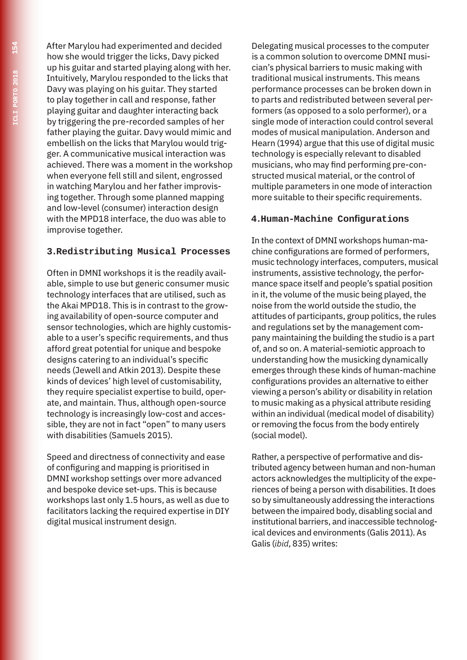After Marylou had experimented and decided how she would trigger the licks, Davy picked up his guitar and started playing along with her. Intuitively, Marylou responded to the licks that Davy was playing on his guitar. They started to play together in call and response, father playing guitar and daughter interacting back by triggering the pre-recorded samples of her father playing the guitar. Davy would mimic and embellish on the licks that Marylou would trigger. A communicative musical interaction was achieved. There was a moment in the workshop when everyone fell still and silent, engrossed in watching Marylou and her father improvising together. Through some planned mapping and low-level (consumer) interaction design with the MPD18 interface, the duo was able to improvise together.

#### **3.Redistributing Musical Processes**

Often in DMNI workshops it is the readily available, simple to use but generic consumer music technology interfaces that are utilised, such as the Akai MPD18. This is in contrast to the growing availability of open-source computer and sensor technologies, which are highly customisable to a user's specific requirements, and thus afford great potential for unique and bespoke designs catering to an individual's specific needs (Jewell and Atkin 2013). Despite these kinds of devices' high level of customisability, they require specialist expertise to build, operate, and maintain. Thus, although open-source technology is increasingly low-cost and accessible, they are not in fact "open" to many users with disabilities (Samuels 2015).

Speed and directness of connectivity and ease of configuring and mapping is prioritised in DMNI workshop settings over more advanced and bespoke device set-ups. This is because workshops last only 1.5 hours, as well as due to facilitators lacking the required expertise in DIY digital musical instrument design.

Delegating musical processes to the computer is a common solution to overcome DMNI musician's physical barriers to music making with traditional musical instruments. This means performance processes can be broken down in to parts and redistributed between several performers (as opposed to a solo performer), or a single mode of interaction could control several modes of musical manipulation. Anderson and Hearn (1994) argue that this use of digital music technology is especially relevant to disabled musicians, who may find performing pre-constructed musical material, or the control of multiple parameters in one mode of interaction more suitable to their specific requirements.

#### **4.Human-Machine Configurations**

In the context of DMNI workshops human-machine configurations are formed of performers, music technology interfaces, computers, musical instruments, assistive technology, the performance space itself and people's spatial position in it, the volume of the music being played, the noise from the world outside the studio, the attitudes of participants, group politics, the rules and regulations set by the management company maintaining the building the studio is a part of, and so on. A material-semiotic approach to understanding how the musicking dynamically emerges through these kinds of human-machine configurations provides an alternative to either viewing a person's ability or disability in relation to music making as a physical attribute residing within an individual (medical model of disability) or removing the focus from the body entirely (social model).

Rather, a perspective of performative and distributed agency between human and non-human actors acknowledges the multiplicity of the experiences of being a person with disabilities. It does so by simultaneously addressing the interactions between the impaired body, disabling social and institutional barriers, and inaccessible technological devices and environments (Galis 2011). As Galis (*ibid*, 835) writes: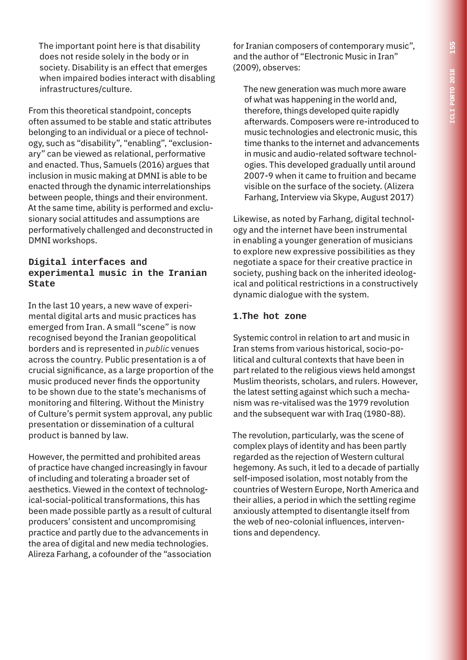The important point here is that disability does not reside solely in the body or in society. Disability is an effect that emerges when impaired bodies interact with disabling infrastructures/culture.

From this theoretical standpoint, concepts often assumed to be stable and static attributes belonging to an individual or a piece of technology, such as "disability", "enabling", "exclusionary" can be viewed as relational, performative and enacted. Thus, Samuels (2016) argues that inclusion in music making at DMNI is able to be enacted through the dynamic interrelationships between people, things and their environment. At the same time, ability is performed and exclusionary social attitudes and assumptions are performatively challenged and deconstructed in DMNI workshops.

#### **Digital interfaces and experimental music in the Iranian State**

In the last 10 years, a new wave of experimental digital arts and music practices has emerged from Iran. A small "scene" is now recognised beyond the Iranian geopolitical borders and is represented in *public* venues across the country. Public presentation is a of crucial significance, as a large proportion of the music produced never finds the opportunity to be shown due to the state's mechanisms of monitoring and filtering. Without the Ministry of Culture's permit system approval, any public presentation or dissemination of a cultural product is banned by law.

However, the permitted and prohibited areas of practice have changed increasingly in favour of including and tolerating a broader set of aesthetics. Viewed in the context of technological-social-political transformations, this has been made possible partly as a result of cultural producers' consistent and uncompromising practice and partly due to the advancements in the area of digital and new media technologies. Alireza Farhang, a cofounder of the "association

for Iranian composers of contemporary music", and the author of "Electronic Music in Iran" (2009), observes:

The new generation was much more aware of what was happening in the world and, therefore, things developed quite rapidly afterwards. Composers were re-introduced to music technologies and electronic music, this time thanks to the internet and advancements in music and audio-related software technologies. This developed gradually until around 2007-9 when it came to fruition and became visible on the surface of the society. (Alizera Farhang, Interview via Skype, August 2017)

Likewise, as noted by Farhang, digital technology and the internet have been instrumental in enabling a younger generation of musicians to explore new expressive possibilities as they negotiate a space for their creative practice in society, pushing back on the inherited ideological and political restrictions in a constructively dynamic dialogue with the system.

#### **1.The hot zone**

Systemic control in relation to art and music in Iran stems from various historical, socio-political and cultural contexts that have been in part related to the religious views held amongst Muslim theorists, scholars, and rulers. However, the latest setting against which such a mechanism was re-vitalised was the 1979 revolution and the subsequent war with Iraq (1980-88).

The revolution, particularly, was the scene of complex plays of identity and has been partly regarded as the rejection of Western cultural hegemony. As such, it led to a decade of partially self-imposed isolation, most notably from the countries of Western Europe, North America and their allies, a period in which the settling regime anxiously attempted to disentangle itself from the web of neo-colonial influences, interventions and dependency.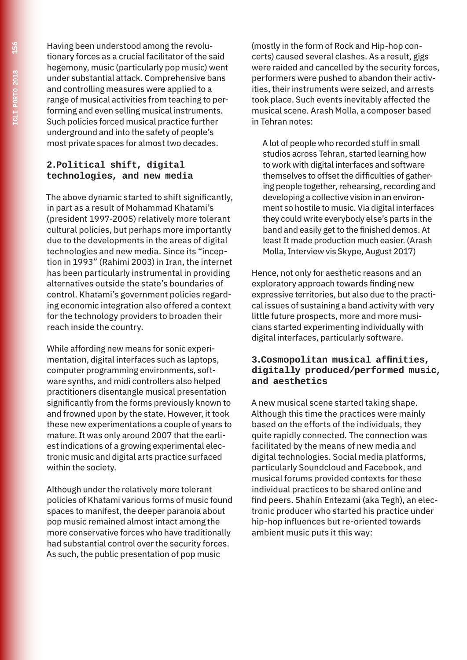Having been understood among the revolutionary forces as a crucial facilitator of the said hegemony, music (particularly pop music) went under substantial attack. Comprehensive bans and controlling measures were applied to a range of musical activities from teaching to performing and even selling musical instruments. Such policies forced musical practice further underground and into the safety of people's most private spaces for almost two decades.

#### **2.Political shift, digital technologies, and new media**

The above dynamic started to shift significantly, in part as a result of Mohammad Khatami's (president 1997-2005) relatively more tolerant cultural policies, but perhaps more importantly due to the developments in the areas of digital technologies and new media. Since its "inception in 1993" (Rahimi 2003) in Iran, the internet has been particularly instrumental in providing alternatives outside the state's boundaries of control. Khatami's government policies regarding economic integration also offered a context for the technology providers to broaden their reach inside the country.

While affording new means for sonic experimentation, digital interfaces such as laptops, computer programming environments, software synths, and midi controllers also helped practitioners disentangle musical presentation significantly from the forms previously known to and frowned upon by the state. However, it took these new experimentations a couple of years to mature. It was only around 2007 that the earliest indications of a growing experimental electronic music and digital arts practice surfaced within the society.

Although under the relatively more tolerant policies of Khatami various forms of music found spaces to manifest, the deeper paranoia about pop music remained almost intact among the more conservative forces who have traditionally had substantial control over the security forces. As such, the public presentation of pop music

(mostly in the form of Rock and Hip-hop concerts) caused several clashes. As a result, gigs were raided and cancelled by the security forces, performers were pushed to abandon their activities, their instruments were seized, and arrests took place. Such events inevitably affected the musical scene. Arash Molla, a composer based in Tehran notes:

A lot of people who recorded stuff in small studios across Tehran, started learning how to work with digital interfaces and software themselves to offset the difficulties of gathering people together, rehearsing, recording and developing a collective vision in an environment so hostile to music. Via digital interfaces they could write everybody else's parts in the band and easily get to the finished demos. At least It made production much easier. (Arash Molla, Interview vis Skype, August 2017)

Hence, not only for aesthetic reasons and an exploratory approach towards finding new expressive territories, but also due to the practical issues of sustaining a band activity with very little future prospects, more and more musicians started experimenting individually with digital interfaces, particularly software.

#### **3.Cosmopolitan musical affinities, digitally produced/performed music, and aesthetics**

A new musical scene started taking shape. Although this time the practices were mainly based on the efforts of the individuals, they quite rapidly connected. The connection was facilitated by the means of new media and digital technologies. Social media platforms, particularly Soundcloud and Facebook, and musical forums provided contexts for these individual practices to be shared online and find peers. Shahin Entezami (aka Tegh), an electronic producer who started his practice under hip-hop influences but re-oriented towards ambient music puts it this way: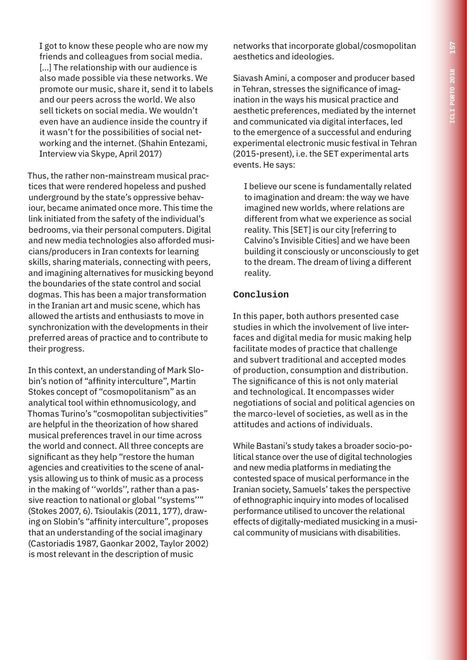I got to know these people who are now my friends and colleagues from social media. [...] The relationship with our audience is also made possible via these networks. We promote our music, share it, send it to labels and our peers across the world. We also sell tickets on social media. We wouldn't even have an audience inside the country if it wasn't for the possibilities of social networking and the internet. (Shahin Entezami, Interview via Skype, April 2017)

Thus, the rather non-mainstream musical practices that were rendered hopeless and pushed underground by the state's oppressive behaviour, became animated once more. This time the link initiated from the safety of the individual's bedrooms, via their personal computers. Digital and new media technologies also afforded musicians/producers in Iran contexts for learning skills, sharing materials, connecting with peers, and imagining alternatives for musicking beyond the boundaries of the state control and social dogmas. This has been a major transformation in the Iranian art and music scene, which has allowed the artists and enthusiasts to move in synchronization with the developments in their preferred areas of practice and to contribute to their progress.

In this context, an understanding of Mark Slobin's notion of "affinity interculture", Martin Stokes concept of "cosmopolitanism" as an analytical tool within ethnomusicology, and Thomas Turino's "cosmopolitan subjectivities" are helpful in the theorization of how shared musical preferences travel in our time across the world and connect. All three concepts are significant as they help "restore the human agencies and creativities to the scene of analysis allowing us to think of music as a process in the making of ''worlds'', rather than a passive reaction to national or global ''systems''" (Stokes 2007, 6). Tsioulakis (2011, 177), drawing on Slobin's "affinity interculture", proposes that an understanding of the social imaginary (Castoriadis 1987, Gaonkar 2002, Taylor 2002) is most relevant in the description of music

networks that incorporate global/cosmopolitan aesthetics and ideologies.

Siavash Amini, a composer and producer based in Tehran, stresses the significance of imagination in the ways his musical practice and aesthetic preferences, mediated by the internet and communicated via digital interfaces, led to the emergence of a successful and enduring experimental electronic music festival in Tehran (2015-present), i.e. the SET experimental arts events. He says:

I believe our scene is fundamentally related to imagination and dream: the way we have imagined new worlds, where relations are different from what we experience as social reality. This [SET] is our city [referring to Calvino's Invisible Cities] and we have been building it consciously or unconsciously to get to the dream. The dream of living a different reality.

#### **Conclusion**

In this paper, both authors presented case studies in which the involvement of live interfaces and digital media for music making help facilitate modes of practice that challenge and subvert traditional and accepted modes of production, consumption and distribution. The significance of this is not only material and technological. It encompasses wider negotiations of social and political agencies on the marco-level of societies, as well as in the attitudes and actions of individuals.

While Bastani's study takes a broader socio-political stance over the use of digital technologies and new media platforms in mediating the contested space of musical performance in the Iranian society, Samuels' takes the perspective of ethnographic inquiry into modes of localised performance utilised to uncover the relational effects of digitally-mediated musicking in a musical community of musicians with disabilities.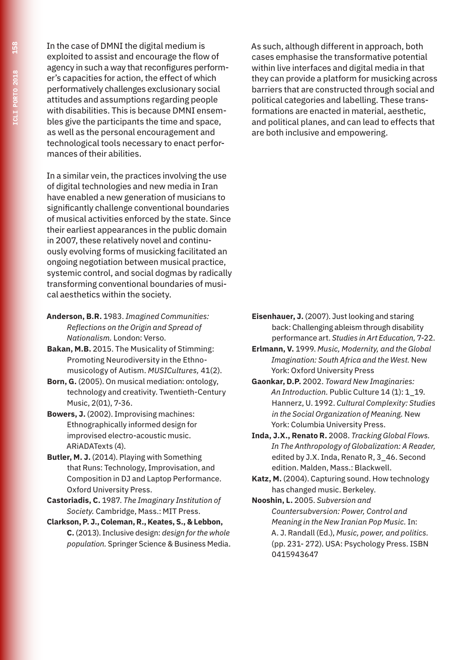In the case of DMNI the digital medium is exploited to assist and encourage the flow of agency in such a way that reconfigures performer's capacities for action, the effect of which performatively challenges exclusionary social attitudes and assumptions regarding people with disabilities. This is because DMNI ensembles give the participants the time and space, as well as the personal encouragement and technological tools necessary to enact performances of their abilities.

In a similar vein, the practices involving the use of digital technologies and new media in Iran have enabled a new generation of musicians to significantly challenge conventional boundaries of musical activities enforced by the state. Since their earliest appearances in the public domain in 2007, these relatively novel and continuously evolving forms of musicking facilitated an ongoing negotiation between musical practice, systemic control, and social dogmas by radically transforming conventional boundaries of musical aesthetics within the society.

- **Anderson, B.R.** 1983. *Imagined Communities: Reflections on the Origin and Spread of Nationalism.* London: Verso.
- **Bakan, M.B.** 2015. The Musicality of Stimming: Promoting Neurodiversity in the Ethnomusicology of Autism. *MUSICultures,* 41(2).
- **Born, G.** (2005). On musical mediation: ontology, technology and creativity. Twentieth-Century Music, 2(01), 7-36.
- **Bowers, J.** (2002). Improvising machines: Ethnographically informed design for improvised electro-acoustic music. ARiADATexts (4).
- **Butler, M. J.** (2014). Playing with Something that Runs: Technology, Improvisation, and Composition in DJ and Laptop Performance. Oxford University Press.
- **Castoriadis, C.** 1987. *The Imaginary Institution of Society.* Cambridge, Mass.: MIT Press.
- **Clarkson, P. J., Coleman, R., Keates, S., & Lebbon, C.** (2013). Inclusive design: *design for the whole population.* Springer Science & Business Media.

As such, although different in approach, both cases emphasise the transformative potential within live interfaces and digital media in that they can provide a platform for musicking across barriers that are constructed through social and political categories and labelling. These transformations are enacted in material, aesthetic, and political planes, and can lead to effects that are both inclusive and empowering.

- **Eisenhauer, J.** (2007). Just looking and staring back: Challenging ableism through disability performance art. *Studies in Art Education,* 7-22.
- **Erlmann, V.** 1999. *Music, Modernity, and the Global Imagination: South Africa and the West.* New York: Oxford University Press
- **Gaonkar, D.P.** 2002. *Toward New Imaginaries: An Introduction.* Public Culture 14 (1): 1\_19. Hannerz, U. 1992. *Cultural Complexity: Studies in the Social Organization of Meaning.* New York: Columbia University Press.
- **Inda, J.X., Renato R.** 2008. *Tracking Global Flows. In The Anthropology of Globalization: A Reader,*  edited by J.X. Inda, Renato R, 3\_46. Second edition. Malden, Mass.: Blackwell.
- **Katz, M.** (2004). Capturing sound. How technology has changed music. Berkeley.

**Nooshin, L.** 2005. *Subversion and Countersubversion: Power, Control and Meaning in the New Iranian Pop Music.* In: A. J. Randall (Ed.), *Music, power, and politics.*  (pp. 231- 272). USA: Psychology Press. ISBN 0415943647